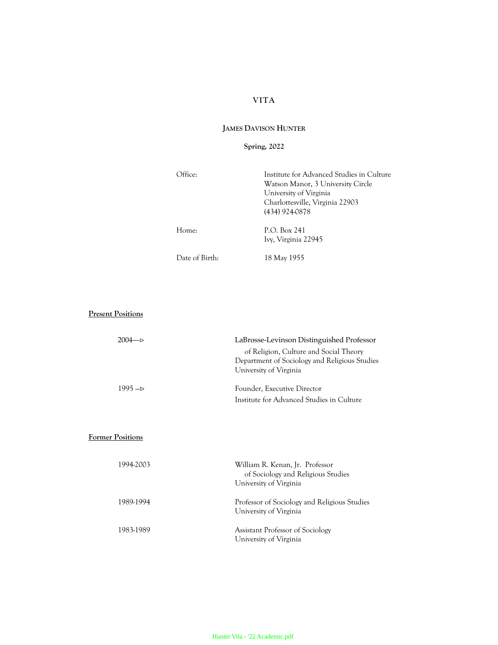# **VITA**

## **JAMES DAVISON HUNTER**

## **Spring, 2022**

| )ffice:        | Institute for Advanced Studies in Culture<br>Watson Manor, 3 University Circle<br>University of Virginia<br>Charlottesville, Virginia 22903<br>(434) 924-0878 |  |
|----------------|---------------------------------------------------------------------------------------------------------------------------------------------------------------|--|
| Home:          | P.O. Box 241<br>Ivy, Virginia 22945                                                                                                                           |  |
| Date of Birth: | 18 May 1955                                                                                                                                                   |  |

# **Present Positions**

| $2004 - 5$ | LaBrosse-Levinson Distinguished Professor                                                                         |
|------------|-------------------------------------------------------------------------------------------------------------------|
|            | of Religion, Culture and Social Theory<br>Department of Sociology and Religious Studies<br>University of Virginia |
| $1995 - 5$ | Founder, Executive Director                                                                                       |
|            | Institute for Advanced Studies in Culture                                                                         |

## **Former Positions**

| 1994-2003 | William R. Kenan, Jr. Professor<br>of Sociology and Religious Studies<br>University of Virginia |
|-----------|-------------------------------------------------------------------------------------------------|
| 1989-1994 | Professor of Sociology and Religious Studies<br>University of Virginia                          |
| 1983-1989 | Assistant Professor of Sociology<br>University of Virginia                                      |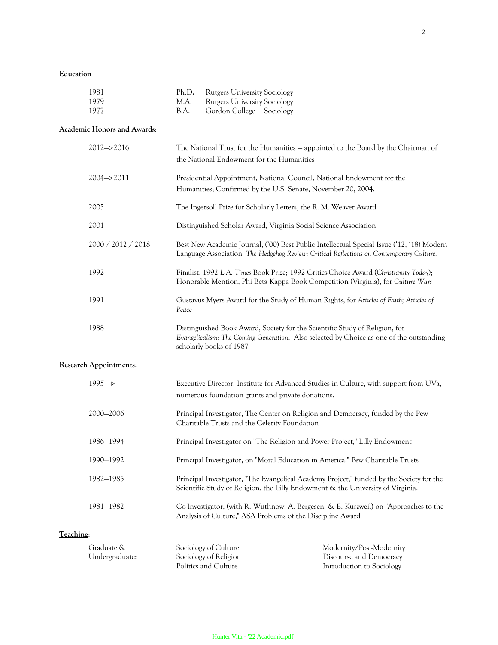## **Education**

| 1981 |      | Ph.D. Rutgers University Sociology |
|------|------|------------------------------------|
| 1979 | M.A. | Rutgers University Sociology       |
| 1977 | B.A. | Gordon College Sociology           |

## **Academic Honors and Awards**:

|                | 2012->2016                    | The National Trust for the Humanities - appointed to the Board by the Chairman of<br>the National Endowment for the Humanities                                                                     |  |
|----------------|-------------------------------|----------------------------------------------------------------------------------------------------------------------------------------------------------------------------------------------------|--|
|                | 2004->2011                    | Presidential Appointment, National Council, National Endowment for the<br>Humanities; Confirmed by the U.S. Senate, November 20, 2004.                                                             |  |
|                | 2005                          | The Ingersoll Prize for Scholarly Letters, the R. M. Weaver Award                                                                                                                                  |  |
|                | 2001                          | Distinguished Scholar Award, Virginia Social Science Association                                                                                                                                   |  |
|                | 2000 / 2012 / 2018            | Best New Academic Journal, ('00) Best Public Intellectual Special Issue ('12, '18) Modern<br>Language Association, The Hedgehog Review: Critical Reflections on Contemporary Culture.              |  |
|                | 1992                          | Finalist, 1992 L.A. Times Book Prize; 1992 Critics-Choice Award (Christianity Today);<br>Honorable Mention, Phi Beta Kappa Book Competition (Virginia), for Culture Wars                           |  |
|                | 1991                          | Gustavus Myers Award for the Study of Human Rights, for Articles of Faith; Articles of<br>Peace                                                                                                    |  |
|                | 1988                          | Distinguished Book Award, Society for the Scientific Study of Religion, for<br>Evangelicalism: The Coming Generation. Also selected by Choice as one of the outstanding<br>scholarly books of 1987 |  |
|                | <b>Research Appointments:</b> |                                                                                                                                                                                                    |  |
|                | $1995 - D$                    | Executive Director, Institute for Advanced Studies in Culture, with support from UVa,<br>numerous foundation grants and private donations.                                                         |  |
|                | 2000-2006                     | Principal Investigator, The Center on Religion and Democracy, funded by the Pew<br>Charitable Trusts and the Celerity Foundation                                                                   |  |
|                | 1986-1994                     | Principal Investigator on "The Religion and Power Project," Lilly Endowment                                                                                                                        |  |
|                | 1990-1992                     | Principal Investigator, on "Moral Education in America," Pew Charitable Trusts                                                                                                                     |  |
|                | 1982-1985                     | Principal Investigator, "The Evangelical Academy Project," funded by the Society for the<br>Scientific Study of Religion, the Lilly Endowment & the University of Virginia.                        |  |
|                | 1981-1982                     | Co-Investigator, (with R. Wuthnow, A. Bergesen, & E. Kurzweil) on "Approaches to the<br>Analysis of Culture," ASA Problems of the Discipline Award                                                 |  |
| $\overline{ }$ |                               |                                                                                                                                                                                                    |  |

# **Teaching**:

| Graduate &     | Sociology of Culture  | Modernity/Post-Modernity  |
|----------------|-----------------------|---------------------------|
| Undergraduate: | Sociology of Religion | Discourse and Democracy   |
|                | Politics and Culture  | Introduction to Sociology |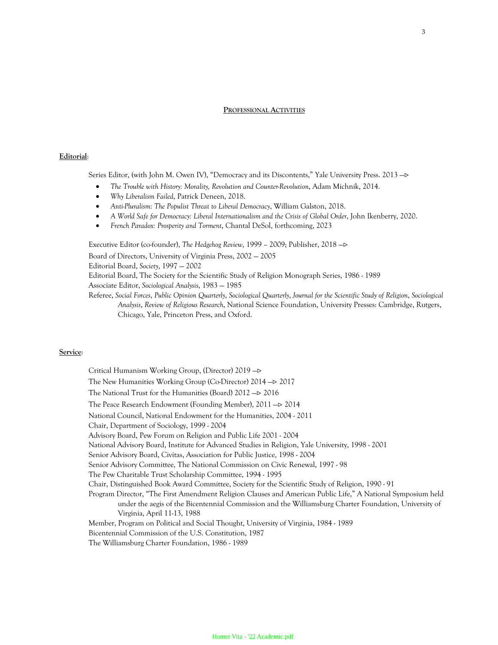### **PROFESSIONAL ACTIVITIES**

### **Editorial**:

Series Editor, (with John M. Owen IV), "Democracy and its Discontents," Yale University Press. 2013 ->

- *The Trouble with History: Morality, Revolution and Counter-Revolution*, Adam Michnik, 2014.
- *Why Liberalism Failed*, Patrick Deneen, 2018.
- *Anti-Pluralism: The Populist Threat to Liberal Democracy*, William Galston, 2018.
- *A World Safe for Democracy: Liberal Internationalism and the Crisis of Global Order*, John Ikenberry, 2020.
- *French Paradox: Prosperity and Torment*, Chantal DeSol, forthcoming, 2023

Executive Editor (co-founder), *The Hedgehog Review*, 1999 - 2009; Publisher, 2018 ->

Board of Directors, University of Virginia Press, 2002 — 2005

Editorial Board, *Society*, 1997 — 2002

Editorial Board, The Society for the Scientific Study of Religion Monograph Series, 1986 - 1989

Associate Editor, *Sociological Analysis*, 1983 — 1985

Referee, *Social Forces*, *Public Opinion Quarterly*, *Sociological Quarterly*, *Journal for the Scientific Study of Religion*, *Sociological Analysis*, *Review of Religious Research*, National Science Foundation, University Presses: Cambridge, Rutgers, Chicago, Yale, Princeton Press, and Oxford.

### **Service**:

Critical Humanism Working Group, (Director) 2019 -The New Humanities Working Group (Co-Director)  $2014 - 2017$ The National Trust for the Humanities (Board)  $2012 \rightarrow 2016$ The Peace Research Endowment (Founding Member),  $2011 - 2014$ National Council, National Endowment for the Humanities, 2004 - 2011 Chair, Department of Sociology, 1999 - 2004 Advisory Board, Pew Forum on Religion and Public Life 2001 - 2004 National Advisory Board, Institute for Advanced Studies in Religion, Yale University, 1998 - 2001 Senior Advisory Board, Civitas, Association for Public Justice, 1998 - 2004 Senior Advisory Committee, The National Commission on Civic Renewal, 1997 - 98 The Pew Charitable Trust Scholarship Committee, 1994 - 1995 Chair, Distinguished Book Award Committee, Society for the Scientific Study of Religion, 1990 - 91 Program Director, "The First Amendment Religion Clauses and American Public Life," A National Symposium held under the aegis of the Bicentennial Commission and the Williamsburg Charter Foundation, University of Virginia, April 11-13, 1988 Member, Program on Political and Social Thought, University of Virginia, 1984 - 1989 Bicentennial Commission of the U.S. Constitution, 1987 The Williamsburg Charter Foundation, 1986 - 1989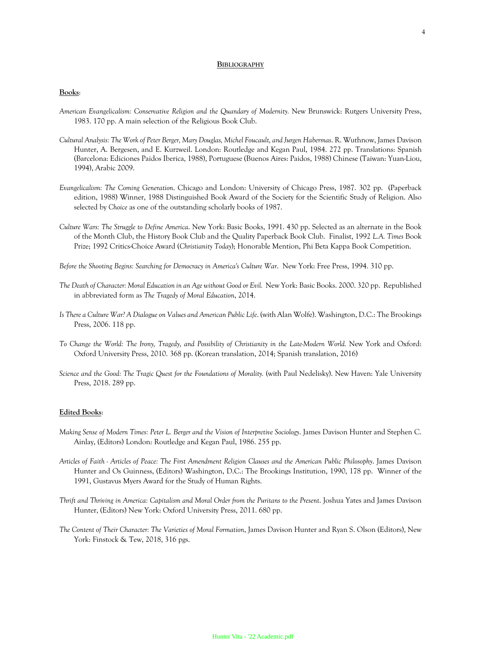#### **BIBLIOGRAPHY**

#### **Books**:

- *American Evangelicalism: Conservative Religion and the Quandary of Modernity.* New Brunswick: Rutgers University Press, 1983. 170 pp. A main selection of the Religious Book Club.
- *Cultural Analysis: The Work of Peter Berger, Mary Douglas, Michel Foucault, and Jurgen Habermas*. R. Wuthnow, James Davison Hunter, A. Bergesen, and E. Kurzweil. London: Routledge and Kegan Paul, 1984. 272 pp. Translations: Spanish (Barcelona: Ediciones Paidos Iberica, 1988), Portuguese (Buenos Aires: Paidos, 1988) Chinese (Taiwan: Yuan-Liou, 1994), Arabic 2009.
- *Evangelicalism: The Coming Generation*. Chicago and London: University of Chicago Press, 1987. 302 pp. (Paperback edition, 1988) Winner, 1988 Distinguished Book Award of the Society for the Scientific Study of Religion. Also selected by *Choice* as one of the outstanding scholarly books of 1987.
- *Culture Wars: The Struggle to Define America*. New York: Basic Books, 1991. 430 pp. Selected as an alternate in the Book of the Month Club, the History Book Club and the Quality Paperback Book Club. Finalist, 1992 *L.A. Times* Book Prize; 1992 Critics-Choice Award (*Christianity Today*); Honorable Mention, Phi Beta Kappa Book Competition.

*Before the Shooting Begins: Searching for Democracy in America's Culture War*. New York: Free Press, 1994. 310 pp.

- *The Death of Character: Moral Education in an Age without Good or Evil.* New York: Basic Books. 2000. 320 pp. Republished in abbreviated form as *The Tragedy of Moral Education*, 2014.
- *Is There a Culture War? A Dialogue on Values and American Public Life*. (with Alan Wolfe). Washington, D.C.: The Brookings Press, 2006. 118 pp.
- *To Change the World: The Irony, Tragedy, and Possibility of Christianity in the Late-Modern World.* New York and Oxford: Oxford University Press, 2010. 368 pp. (Korean translation, 2014; Spanish translation, 2016)
- *Science and the Good: The Tragic Quest for the Foundations of Morality.* (with Paul Nedelisky). New Haven: Yale University Press, 2018. 289 pp.

### **Edited Books**:

- *Making Sense of Modern Times: Peter L. Berger and the Vision of Interpretive Sociology*. James Davison Hunter and Stephen C. Ainlay, (Editors) London: Routledge and Kegan Paul, 1986. 255 pp.
- *Articles of Faith - Articles of Peace: The First Amendment Religion Clauses and the American Public Philosophy*. James Davison Hunter and Os Guinness, (Editors) Washington, D.C.: The Brookings Institution, 1990, 178 pp. Winner of the 1991, Gustavus Myers Award for the Study of Human Rights.
- *Thrift and Thriving in America: Capitalism and Moral Order from the Puritans to the Present*. Joshua Yates and James Davison Hunter, (Editors) New York: Oxford University Press, 2011. 680 pp.
- *The Content of Their Character: The Varieties of Moral Formation*, James Davison Hunter and Ryan S. Olson (Editors), New York: Finstock & Tew, 2018, 316 pgs.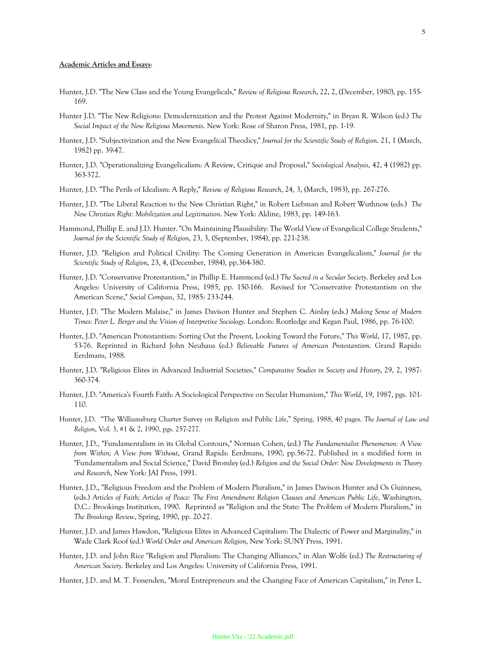### **Academic Articles and Essays**:

- Hunter, J.D. "The New Class and the Young Evangelicals," *Review of Religious Research*, 22, 2, (December, 1980), pp. 155- 169.
- Hunter J.D. "The New Religions: Demodernization and the Protest Against Modernity," in Bryan R. Wilson (ed.) *The Social Impact of the New Religious Movements*. New York: Rose of Sharon Press, 1981, pp. 1-19.
- Hunter, J.D. "Subjectivization and the New Evangelical Theodicy," *Journal for the Scientific Study of Religion*. 21, 1 (March, 1982) pp. 39-47.
- Hunter, J.D. "Operationalizing Evangelicalism: A Review, Critique and Proposal," *Sociological Analysis*, 42, 4 (1982) pp. 363-372.
- Hunter, J.D. "The Perils of Idealism: A Reply," *Review of Religious Research*, 24, 3, (March, 1983), pp. 267-276.
- Hunter, J.D. "The Liberal Reaction to the New Christian Right," in Robert Liebman and Robert Wuthnow (eds.) *The New Christian Right: Mobilization and Legitimation*. New York: Aldine, 1983, pp. 149-163.
- Hammond, Phillip E. and J.D. Hunter. "On Maintaining Plausibility: The World View of Evangelical College Students," *Journal for the Scientific Study of Religion*, 23, 3, (September, 1984), pp. 221-238.
- Hunter, J.D. "Religion and Political Civility: The Coming Generation in American Evangelicalism," *Journal for the Scientific Study of Religion*, 23, 4, (December, 1984), pp.364-380.
- Hunter, J.D. "Conservative Protestantism," in Phillip E. Hammond (ed.) *The Sacred in a Secular Society*. Berkeley and Los Angeles: University of California Press, 1985, pp. 150-166. Revised for "Conservative Protestantism on the American Scene," *Social Compass*, 32, 1985: 233-244.
- Hunter, J.D. "The Modern Malaise," in James Davison Hunter and Stephen C. Ainlay (eds.) *Making Sense of Modern Times: Peter L. Berger and the Vision of Interpretive Sociology*. London: Routledge and Kegan Paul, 1986, pp. 76-100.
- Hunter, J.D. "American Protestantism: Sorting Out the Present, Looking Toward the Future," *This World*, 17, 1987, pp. 53-76. Reprinted in Richard John Neuhaus (ed.) *Believable Futures of American Protestantism*. Grand Rapids: Eerdmans, 1988.
- Hunter, J.D. "Religious Elites in Advanced Industrial Societies," *Comparative Studies in Society and History*, 29, 2, 1987: 360-374.
- Hunter, J.D. "America's Fourth Faith: A Sociological Perspective on Secular Humanism," *This World*, 19, 1987, pgs. 101- 110.
- Hunter, J.D. "The Williamsburg Charter Survey on Religion and Public Life," Spring, 1988, 40 pages. *The Journal of Law and Religion*, Vol. 3, #1 & 2, 1990, pgs. 257-277.
- Hunter, J.D., "Fundamentalism in its Global Contours," Norman Cohen, (ed.) *The Fundamentalist Phenomenon: A View from Within; A View from Without*, Grand Rapids: Eerdmans, 1990, pp.56-72. Published in a modified form in "Fundamentalism and Social Science," David Bromley (ed.) *Religion and the Social Order: New Developments in Theory and Research*, New York: JAI Press, 1991.
- Hunter, J.D., "Religious Freedom and the Problem of Modern Pluralism," in James Davison Hunter and Os Guinness, (eds.) *Articles of Faith; Articles of Peace: The First Amendment Religion Clauses and American Public Life*, Washington, D.C.: Brookings Institution, 1990. Reprinted as "Religion and the State: The Problem of Modern Pluralism," in *The Brookings Review*, Spring, 1990, pp. 20-27.
- Hunter, J.D. and James Hawdon, "Religious Elites in Advanced Capitalism: The Dialectic of Power and Marginality," in Wade Clark Roof (ed.) *World Order and American Religion*, New York: SUNY Press, 1991.
- Hunter, J.D. and John Rice "Religion and Pluralism: The Changing Alliances," in Alan Wolfe (ed.) *The Restructuring of American Society*. Berkeley and Los Angeles: University of California Press, 1991.
- Hunter, J.D. and M. T. Fessenden, "Moral Entrepreneurs and the Changing Face of American Capitalism," in Peter L.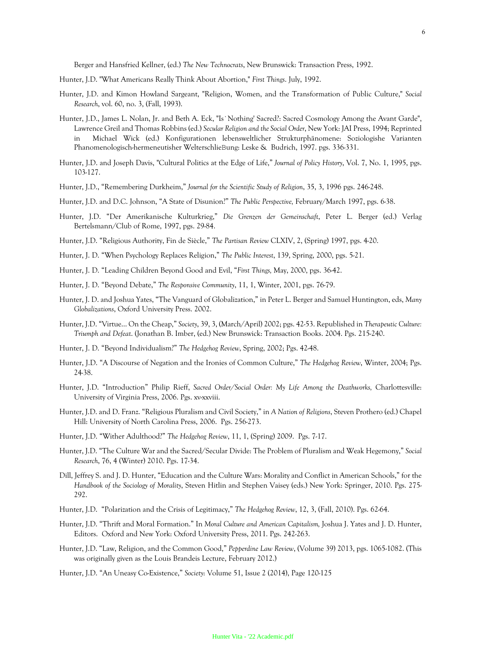Berger and Hansfried Kellner, (ed.) *The New Technocrats*, New Brunswick: Transaction Press, 1992.

- Hunter, J.D. "What Americans Really Think About Abortion," *First Things*. July, 1992.
- Hunter, J.D. and Kimon Howland Sargeant, "Religion, Women, and the Transformation of Public Culture," *Social Research*, vol. 60, no. 3, (Fall, 1993).
- Hunter, J.D., James L. Nolan, Jr. and Beth A. Eck, "Is`Nothing' Sacred?: Sacred Cosmology Among the Avant Garde", Lawrence Greil and Thomas Robbins (ed.) *Secular Religion and the Social Order*, New York: JAI Press, 1994; Reprinted in Michael Wick (ed.) Konfigurationen lebensweltlicher Strukturphänomene: Soziologishe Varianten Phanomenologisch-hermeneutisher WelterschlieBung: Leske & Budrich, 1997. pgs. 336-331.
- Hunter, J.D. and Joseph Davis, "Cultural Politics at the Edge of Life," *Journal of Policy History*, Vol. 7, No. 1, 1995, pgs. 103-127.
- Hunter, J.D., "Remembering Durkheim," *Journal for the Scientific Study of Religion*, 35, 3, 1996 pgs. 246-248.
- Hunter, J.D. and D.C. Johnson, "A State of Disunion?" *The Public Perspective,* February/March 1997, pgs. 6-38.
- Hunter, J.D. "Der Amerikanische Kulturkrieg," *Die Grenzen der Gemeinschaft*, Peter L. Berger (ed.) Verlag Bertelsmann/Club of Rome, 1997, pgs. 29-84.
- Hunter, J.D. "Religious Authority, Fin de Siècle," *The Partisan Review* CLXIV, 2, (Spring) 1997, pgs. 4-20.
- Hunter, J. D. "When Psychology Replaces Religion," *The Public Interest*, 139, Spring, 2000, pgs. 5-21.
- Hunter, J. D. "Leading Children Beyond Good and Evil, "*First Things,* May, 2000, pgs. 36-42.
- Hunter, J. D. "Beyond Debate," *The Responsive Community*, 11, 1, Winter, 2001, pgs. 76-79.
- Hunter, J. D. and Joshua Yates, "The Vanguard of Globalization," in Peter L. Berger and Samuel Huntington, eds, *Many Globalizations*, Oxford University Press. 2002.
- Hunter, J.D. "Virtue… On the Cheap," *Society*, 39, 3, (March/April) 2002; pgs. 42-53. Republished in *Therapeutic Culture: Triumph and Defeat*. (Jonathan B. Imber, (ed.) New Brunswick: Transaction Books. 2004. Pgs. 215-240.
- Hunter, J. D. "Beyond Individualism?" *The Hedgehog Review*, Spring, 2002; Pgs. 42-48.
- Hunter, J.D. "A Discourse of Negation and the Ironies of Common Culture," *The Hedgehog Review*, Winter, 2004; Pgs. 24-38.
- Hunter, J.D. "Introduction" Philip Rieff, *Sacred Order/Social Order: My Life Among the Deathworks*, Charlottesville: University of Virginia Press, 2006. Pgs. xv-xxviii.
- Hunter, J.D. and D. Franz. "Religious Pluralism and Civil Society," in *A Nation of Religions*, Steven Prothero (ed.) Chapel Hill: University of North Carolina Press, 2006. Pgs. 256-273.
- Hunter, J.D. "Wither Adulthood?" *The Hedgehog Review*, 11, 1, (Spring) 2009. Pgs. 7-17.
- Hunter, J.D. "The Culture War and the Sacred/Secular Divide: The Problem of Pluralism and Weak Hegemony," *Social Research*, 76, 4 (Winter) 2010. Pgs. 17-34.
- Dill, Jeffrey S. and J. D. Hunter, "Education and the Culture Wars: Morality and Conflict in American Schools," for the *Handbook of the Sociology of Morality*, Steven Hitlin and Stephen Vaisey (eds.) New York: Springer, 2010. Pgs. 275- 292.
- Hunter, J.D. "Polarization and the Crisis of Legitimacy," *The Hedgehog Review*, 12, 3, (Fall, 2010). Pgs. 62-64.
- Hunter, J.D. "Thrift and Moral Formation." In *Moral Culture and American Capitalism,* Joshua J. Yates and J. D. Hunter, Editors. Oxford and New York: Oxford University Press, 2011. Pgs. 242-263.
- Hunter, J.D. "Law, Religion, and the Common Good," *Pepperdine Law Review*, (Volume 39) 2013, pgs. 1065-1082. (This was originally given as the Louis Brandeis Lecture, February 2012.)
- Hunter, J.D. "An Uneasy Co-Existence," *Society*: Volume 51, Issue 2 (2014), Page 120-125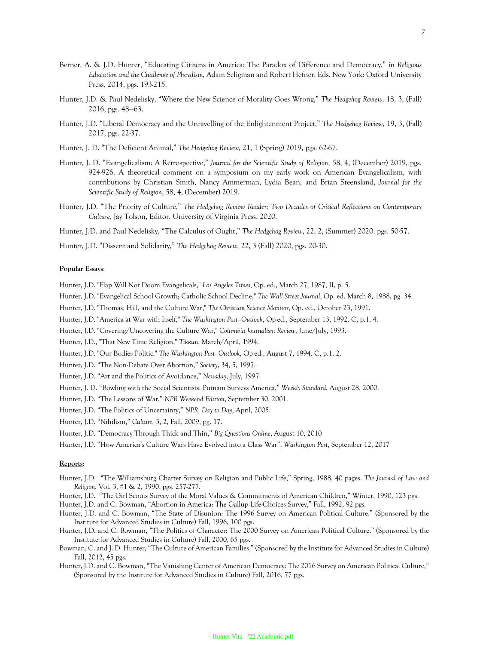- Berner, A. & J.D. Hunter, "Educating Citizens in America: The Paradox of Difference and Democracy," in *Religious Education and the Challenge of Pluralism*, Adam Seligman and Robert Hefner, Eds. New York: Oxford University Press, 2014, pgs. 193-215.
- Hunter, J.D. & Paul Nedelisky, "Where the New Science of Morality Goes Wrong," *The Hedgehog Review*, 18, 3, (Fall) 2016, pgs. 48—63.
- Hunter, J.D. "Liberal Democracy and the Unravelling of the Enlightenment Project," *The Hedgehog Review*, 19, 3, (Fall) 2017, pgs. 22-37.
- Hunter, J. D. "The Deficient Animal," *The Hedgehog Review*, 21, 1 (Spring) 2019, pgs. 62-67.
- Hunter, J. D. "Evangelicalism: A Retrospective," *Journal for the Scientific Study of Religion*, 58, 4, (December) 2019, pgs. 924-926. A theoretical comment on a symposium on my early work on American Evangelicalism, with contributions by Christian Smith, Nancy Ammerman, Lydia Bean, and Brian Steensland, *Journal for the Scientific Study of Religion*, 58, 4, (December) 2019.
- Hunter, J.D. "The Priority of Culture," *The Hedgehog Review Reader: Two Decades of Critical Reflections on Contemporary Culture*, Jay Tolson, Editor. University of Virginia Press, 2020.
- Hunter, J.D. and Paul Nedelisky, "The Calculus of Ought," *The Hedgehog Review*, 22, 2, (Summer) 2020, pgs. 50-57.
- Hunter, J.D. "Dissent and Solidarity," *The Hedgehog Review*, 22, 3 (Fall) 2020, pgs. 20-30.

### **Popular Essays**:

- Hunter, J.D. "Flap Will Not Doom Evangelicals," *Los Angeles Times*, Op. ed., March 27, 1987, II, p. 5.
- Hunter, J.D. "Evangelical School Growth; Catholic School Decline," *The Wall Street Journal*, Op. ed. March 8, 1988, pg. 34.
- Hunter, J.D. "Thomas, Hill, and the Culture War," *The Christian Science Monitor*, Op. ed., October 23, 1991.
- Hunter, J.D. "America at War with Itself," *The Washington Post—Outlook*, Op-ed., September 13, 1992. C, p.1, 4.
- Hunter, J.D. "Covering/Uncovering the Culture War," *Columbia Journalism Review*, June/July, 1993.
- Hunter, J.D., "That New Time Religion," *Tikkun*, March/April, 1994.
- Hunter, J.D. "Our Bodies Politic," *The Washington Post—Outlook*, Op-ed., August 7, 1994. C, p.1, 2.
- Hunter, J.D. "The Non-Debate Over Abortion," *Society*, 34, 5, 1997.
- Hunter, J.D. "Art and the Politics of Avoidance," *Newsday*, July, 1997.
- Hunter, J. D. "Bowling with the Social Scientists: Putnam Surveys America," *Weekly Standard*, August 28, 2000.
- Hunter, J.D. "The Lessons of War," *NPR Weekend Edition*, September 30, 2001.
- Hunter, J.D. "The Politics of Uncertainty," *NPR, Day to Day*, April, 2005.
- Hunter, J.D. "Nihilism," *Culture*, 3, 2, Fall, 2009, pg. 17.
- Hunter, J.D. "Democracy Through Thick and Thin," *Big Questions Online*, August 10, 2010
- Hunter, J.D. "How America's Culture Wars Have Evolved into a Class War", *Washington Post*, September 12, 2017

#### **Reports**:

- Hunter, J.D. "The Williamsburg Charter Survey on Religion and Public Life," Spring, 1988, 40 pages. *The Journal of Law and Religion*, Vol. 3, #1 & 2, 1990, pgs. 257-277.
- Hunter, J.D. "The Girl Scouts Survey of the Moral Values & Commitments of American Children," Winter, 1990, 123 pgs.
- Hunter, J.D. and C. Bowman, "Abortion in America: The Gallup Life-Choices Survey," Fall, 1992, 92 pgs.
- Hunter, J.D. and C. Bowman, "The State of Disunion: The 1996 Survey on American Political Culture." (Sponsored by the Institute for Advanced Studies in Culture) Fall, 1996, 100 pgs.
- Hunter, J.D. and C. Bowman, "The Politics of Character: The 2000 Survey on American Political Culture." (Sponsored by the Institute for Advanced Studies in Culture) Fall, 2000, 65 pgs.
- Bowman, C. and J. D. Hunter, "The Culture of American Families," (Sponsored by the Institute for Advanced Studies in Culture) Fall, 2012, 45 pgs.
- Hunter, J.D. and C. Bowman, "The Vanishing Center of American Democracy: The 2016 Survey on American Political Culture," (Sponsored by the Institute for Advanced Studies in Culture) Fall, 2016, 77 pgs.